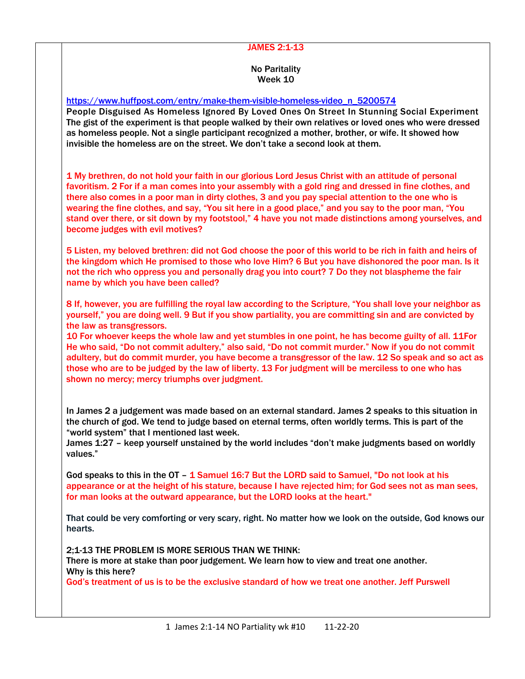## JAMES 2:1-13

## No Paritality Week 10

[https://www.huffpost.com/entry/make-them-visible-homeless-video\\_n\\_5200574](https://www.huffpost.com/entry/make-them-visible-homeless-video_n_5200574)

People Disguised As Homeless Ignored By Loved Ones On Street In Stunning Social Experiment The gist of the experiment is that people walked by their own relatives or loved ones who were dressed as homeless people. Not a single participant recognized a mother, brother, or wife. It showed how invisible the homeless are on the street. We don't take a second look at them.

1 My brethren, do not hold your faith in our glorious Lord Jesus Christ with an attitude of personal favoritism. 2 For if a man comes into your assembly with a gold ring and dressed in fine clothes, and there also comes in a poor man in dirty clothes, 3 and you pay special attention to the one who is wearing the fine clothes, and say, "You sit here in a good place," and you say to the poor man, "You stand over there, or sit down by my footstool," 4 have you not made distinctions among yourselves, and become judges with evil motives?

5 Listen, my beloved brethren: did not God choose the poor of this world to be rich in faith and heirs of the kingdom which He promised to those who love Him? 6 But you have dishonored the poor man. Is it not the rich who oppress you and personally drag you into court? 7 Do they not blaspheme the fair name by which you have been called?

8 If, however, you are fulfilling the royal law according to the Scripture, "You shall love your neighbor as yourself," you are doing well. 9 But if you show partiality, you are committing sin and are convicted by the law as transgressors.

10 For whoever keeps the whole law and yet stumbles in one point, he has become guilty of all. 11For He who said, "Do not commit adultery," also said, "Do not commit murder." Now if you do not commit adultery, but do commit murder, you have become a transgressor of the law. 12 So speak and so act as those who are to be judged by the law of liberty. 13 For judgment will be merciless to one who has shown no mercy; mercy triumphs over judgment.

In James 2 a judgement was made based on an external standard. James 2 speaks to this situation in the church of god. We tend to judge based on eternal terms, often worldly terms. This is part of the "world system" that I mentioned last week.

James 1:27 – keep yourself unstained by the world includes "don't make judgments based on worldly values."

God speaks to this in the OT - 1 Samuel 16:7 But the LORD said to Samuel, "Do not look at his appearance or at the height of his stature, because I have rejected him; for God sees not as man sees, for man looks at the outward appearance, but the LORD looks at the heart."

That could be very comforting or very scary, right. No matter how we look on the outside, God knows our hearts.

2;1-13 THE PROBLEM IS MORE SERIOUS THAN WE THINK: There is more at stake than poor judgement. We learn how to view and treat one another. Why is this here?

God's treatment of us is to be the exclusive standard of how we treat one another. Jeff Purswell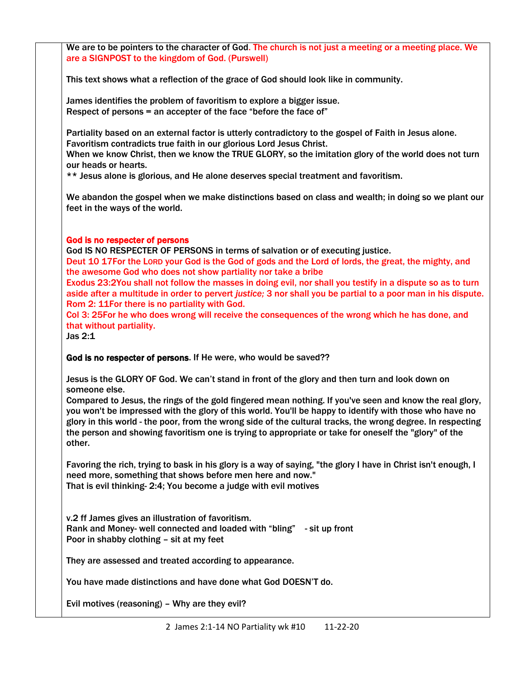We are to be pointers to the character of God. The church is not just a meeting or a meeting place. We are a SIGNPOST to the kingdom of God. (Purswell)

This text shows what a reflection of the grace of God should look like in community.

James identifies the problem of favoritism to explore a bigger issue. Respect of persons = an accepter of the face "before the face of"

Partiality based on an external factor is utterly contradictory to the gospel of Faith in Jesus alone. Favoritism contradicts true faith in our glorious Lord Jesus Christ.

When we know Christ, then we know the TRUE GLORY, so the imitation glory of the world does not turn our heads or hearts.

\*\* Jesus alone is glorious, and He alone deserves special treatment and favoritism.

We abandon the gospel when we make distinctions based on class and wealth; in doing so we plant our feet in the ways of the world.

## God is no respecter of persons

God IS NO RESPECTER OF PERSONS in terms of salvation or of executing justice.

Deut 10 17For the LORD your God is the God of gods and the Lord of lords, the great, the mighty, and the awesome God who does not show partiality nor take a bribe

Exodus 23:2You shall not follow the masses in doing evil, nor shall you testify in a dispute so as to turn aside after a multitude in order to pervert *justice;* 3 nor shall you be partial to a poor man in his dispute. Rom 2: 11For there is no partiality with God.

Col 3: 25For he who does wrong will receive the consequences of the wrong which he has done, and that without partiality.

Jas 2:1

God is no respecter of persons. If He were, who would be saved??

Jesus is the GLORY OF God. We can't stand in front of the glory and then turn and look down on someone else.

Compared to Jesus, the rings of the gold fingered mean nothing. If you've seen and know the real glory, you won't be impressed with the glory of this world. You'll be happy to identify with those who have no glory in this world - the poor, from the wrong side of the cultural tracks, the wrong degree. In respecting the person and showing favoritism one is trying to appropriate or take for oneself the "glory" of the other.

Favoring the rich, trying to bask in his glory is a way of saying, "the glory I have in Christ isn't enough, I need more, something that shows before men here and now." That is evil thinking- 2:4; You become a judge with evil motives

v.2 ff James gives an illustration of favoritism. Rank and Money- well connected and loaded with "bling" - sit up front Poor in shabby clothing – sit at my feet

They are assessed and treated according to appearance.

You have made distinctions and have done what God DOESN'T do.

Evil motives (reasoning) – Why are they evil?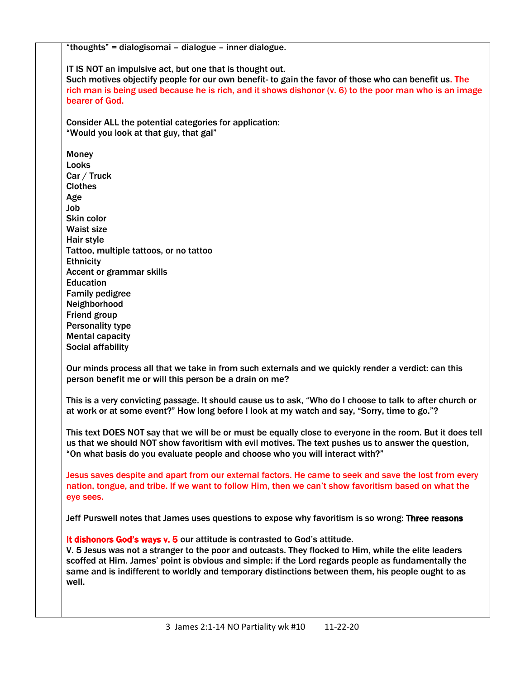"thoughts" = dialogisomai – dialogue – inner dialogue. IT IS NOT an impulsive act, but one that is thought out. Such motives objectify people for our own benefit- to gain the favor of those who can benefit us. The rich man is being used because he is rich, and it shows dishonor (v. 6) to the poor man who is an image bearer of God. Consider ALL the potential categories for application: "Would you look at that guy, that gal" **Money** Looks Car / Truck Clothes Age Job Skin color Waist size Hair style Tattoo, multiple tattoos, or no tattoo **Ethnicity** Accent or grammar skills Education Family pedigree Neighborhood Friend group Personality type Mental capacity Social affability Our minds process all that we take in from such externals and we quickly render a verdict: can this person benefit me or will this person be a drain on me? This is a very convicting passage. It should cause us to ask, "Who do I choose to talk to after church or at work or at some event?" How long before I look at my watch and say, "Sorry, time to go."? This text DOES NOT say that we will be or must be equally close to everyone in the room. But it does tell us that we should NOT show favoritism with evil motives. The text pushes us to answer the question, "On what basis do you evaluate people and choose who you will interact with?" Jesus saves despite and apart from our external factors. He came to seek and save the lost from every nation, tongue, and tribe. If we want to follow Him, then we can't show favoritism based on what the eye sees. Jeff Purswell notes that James uses questions to expose why favoritism is so wrong: Three reasons It dishonors God's ways v. 5 our attitude is contrasted to God's attitude. V. 5 Jesus was not a stranger to the poor and outcasts. They flocked to Him, while the elite leaders scoffed at Him. James' point is obvious and simple: if the Lord regards people as fundamentally the same and is indifferent to worldly and temporary distinctions between them, his people ought to as well.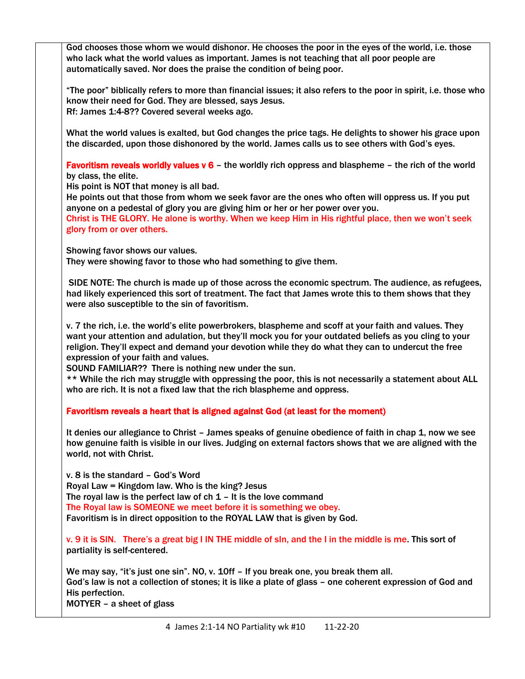God chooses those whom we would dishonor. He chooses the poor in the eyes of the world, i.e. those who lack what the world values as important. James is not teaching that all poor people are automatically saved. Nor does the praise the condition of being poor.

"The poor" biblically refers to more than financial issues; it also refers to the poor in spirit, i.e. those who know their need for God. They are blessed, says Jesus. Rf: James 1:4-8?? Covered several weeks ago.

What the world values is exalted, but God changes the price tags. He delights to shower his grace upon the discarded, upon those dishonored by the world. James calls us to see others with God's eyes.

Favoritism reveals worldly values v 6 - the worldly rich oppress and blaspheme - the rich of the world by class, the elite.

His point is NOT that money is all bad.

He points out that those from whom we seek favor are the ones who often will oppress us. If you put anyone on a pedestal of glory you are giving him or her or her power over you.

Christ is THE GLORY. He alone is worthy. When we keep Him in His rightful place, then we won't seek glory from or over others.

Showing favor shows our values.

They were showing favor to those who had something to give them.

SIDE NOTE: The church is made up of those across the economic spectrum. The audience, as refugees, had likely experienced this sort of treatment. The fact that James wrote this to them shows that they were also susceptible to the sin of favoritism.

v. 7 the rich, i.e. the world's elite powerbrokers, blaspheme and scoff at your faith and values. They want your attention and adulation, but they'll mock you for your outdated beliefs as you cling to your religion. They'll expect and demand your devotion while they do what they can to undercut the free expression of your faith and values.

SOUND FAMILIAR?? There is nothing new under the sun.

\*\* While the rich may struggle with oppressing the poor, this is not necessarily a statement about ALL who are rich. It is not a fixed law that the rich blaspheme and oppress.

Favoritism reveals a heart that is aligned against God (at least for the moment)

It denies our allegiance to Christ – James speaks of genuine obedience of faith in chap 1, now we see how genuine faith is visible in our lives. Judging on external factors shows that we are aligned with the world, not with Christ.

v. 8 is the standard – God's Word Royal Law = Kingdom law. Who is the king? Jesus The royal law is the perfect law of  $ch 1 - It$  is the love command The Royal law is SOMEONE we meet before it is something we obey. Favoritism is in direct opposition to the ROYAL LAW that is given by God.

v. 9 it is SIN. There's a great big I IN THE middle of sIn, and the I in the middle is me. This sort of partiality is self-centered.

We may say, "it's just one sin". NO, v. 10ff – If you break one, you break them all. God's law is not a collection of stones; it is like a plate of glass – one coherent expression of God and His perfection. MOTYER – a sheet of glass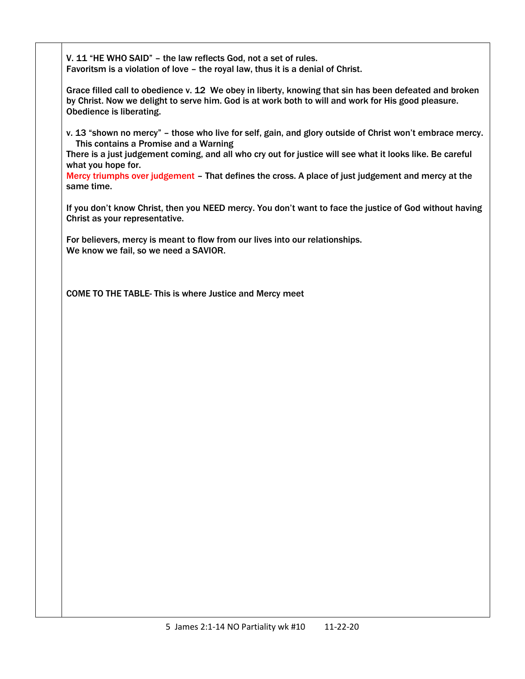V. 11 "HE WHO SAID" – the law reflects God, not a set of rules. Favoritsm is a violation of love – the royal law, thus it is a denial of Christ.

Grace filled call to obedience v. 12 We obey in liberty, knowing that sin has been defeated and broken by Christ. Now we delight to serve him. God is at work both to will and work for His good pleasure. Obedience is liberating.

v. 13 "shown no mercy" – those who live for self, gain, and glory outside of Christ won't embrace mercy. This contains a Promise and a Warning

There is a just judgement coming, and all who cry out for justice will see what it looks like. Be careful what you hope for.

Mercy triumphs over judgement – That defines the cross. A place of just judgement and mercy at the same time.

If you don't know Christ, then you NEED mercy. You don't want to face the justice of God without having Christ as your representative.

For believers, mercy is meant to flow from our lives into our relationships. We know we fail, so we need a SAVIOR.

COME TO THE TABLE- This is where Justice and Mercy meet